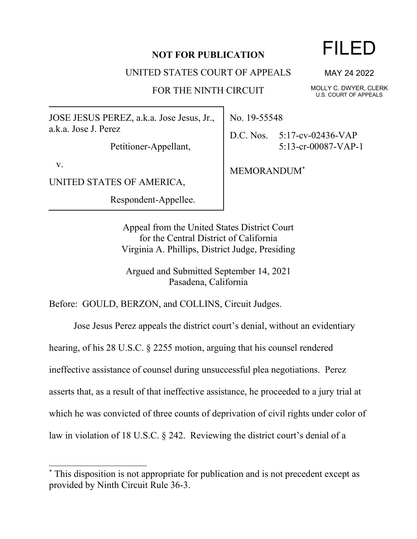# **NOT FOR PUBLICATION**

UNITED STATES COURT OF APPEALS

FOR THE NINTH CIRCUIT

JOSE JESUS PEREZ, a.k.a. Jose Jesus, Jr., a.k.a. Jose J. Perez

Petitioner-Appellant,

v.

UNITED STATES OF AMERICA,

Respondent-Appellee.

No. 19-55548

D.C. Nos. 5:17-cv-02436-VAP 5:13-cr-00087-VAP-1

MEMORANDUM\*

Appeal from the United States District Court for the Central District of California Virginia A. Phillips, District Judge, Presiding

Argued and Submitted September 14, 2021 Pasadena, California

Before: GOULD, BERZON, and COLLINS, Circuit Judges.

Jose Jesus Perez appeals the district court's denial, without an evidentiary

hearing, of his 28 U.S.C. § 2255 motion, arguing that his counsel rendered

ineffective assistance of counsel during unsuccessful plea negotiations. Perez

asserts that, as a result of that ineffective assistance, he proceeded to a jury trial at

which he was convicted of three counts of deprivation of civil rights under color of

law in violation of 18 U.S.C. § 242. Reviewing the district court's denial of a

# FILED

MAY 24 2022

MOLLY C. DWYER, CLERK U.S. COURT OF APPEALS

This disposition is not appropriate for publication and is not precedent except as provided by Ninth Circuit Rule 36-3.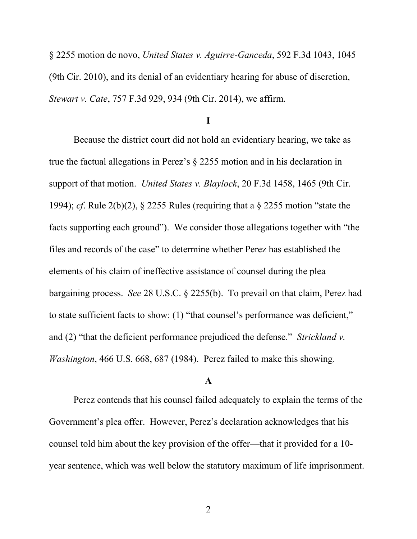§ 2255 motion de novo, *United States v. Aguirre-Ganceda*, 592 F.3d 1043, 1045 (9th Cir. 2010), and its denial of an evidentiary hearing for abuse of discretion, *Stewart v. Cate*, 757 F.3d 929, 934 (9th Cir. 2014), we affirm.

**I**

Because the district court did not hold an evidentiary hearing, we take as true the factual allegations in Perez's § 2255 motion and in his declaration in support of that motion. *United States v. Blaylock*, 20 F.3d 1458, 1465 (9th Cir. 1994); *cf*. Rule 2(b)(2), § 2255 Rules (requiring that a § 2255 motion "state the facts supporting each ground"). We consider those allegations together with "the files and records of the case" to determine whether Perez has established the elements of his claim of ineffective assistance of counsel during the plea bargaining process. *See* 28 U.S.C. § 2255(b). To prevail on that claim, Perez had to state sufficient facts to show: (1) "that counsel's performance was deficient," and (2) "that the deficient performance prejudiced the defense." *Strickland v. Washington*, 466 U.S. 668, 687 (1984). Perez failed to make this showing.

## **A**

Perez contends that his counsel failed adequately to explain the terms of the Government's plea offer. However, Perez's declaration acknowledges that his counsel told him about the key provision of the offer—that it provided for a 10 year sentence, which was well below the statutory maximum of life imprisonment.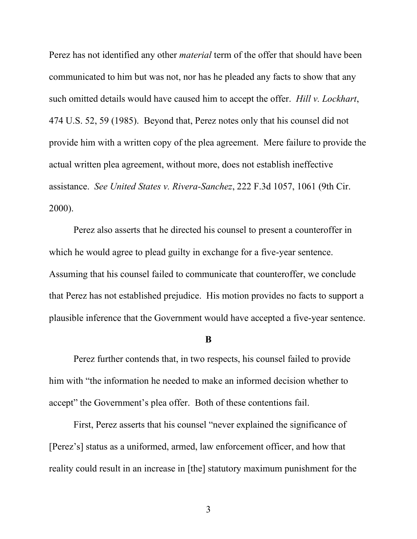Perez has not identified any other *material* term of the offer that should have been communicated to him but was not, nor has he pleaded any facts to show that any such omitted details would have caused him to accept the offer. *Hill v. Lockhart*, 474 U.S. 52, 59 (1985). Beyond that, Perez notes only that his counsel did not provide him with a written copy of the plea agreement. Mere failure to provide the actual written plea agreement, without more, does not establish ineffective assistance. *See United States v. Rivera-Sanchez*, 222 F.3d 1057, 1061 (9th Cir. 2000).

Perez also asserts that he directed his counsel to present a counteroffer in which he would agree to plead guilty in exchange for a five-year sentence. Assuming that his counsel failed to communicate that counteroffer, we conclude that Perez has not established prejudice. His motion provides no facts to support a plausible inference that the Government would have accepted a five-year sentence.

#### **B**

Perez further contends that, in two respects, his counsel failed to provide him with "the information he needed to make an informed decision whether to accept" the Government's plea offer. Both of these contentions fail.

First, Perez asserts that his counsel "never explained the significance of [Perez's] status as a uniformed, armed, law enforcement officer, and how that reality could result in an increase in [the] statutory maximum punishment for the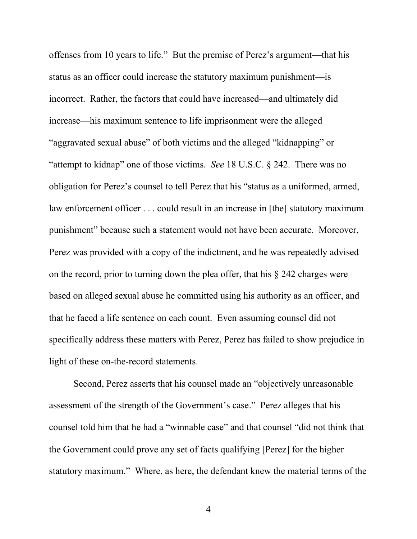offenses from 10 years to life." But the premise of Perez's argument—that his status as an officer could increase the statutory maximum punishment—is incorrect. Rather, the factors that could have increased—and ultimately did increase—his maximum sentence to life imprisonment were the alleged "aggravated sexual abuse" of both victims and the alleged "kidnapping" or "attempt to kidnap" one of those victims. *See* 18 U.S.C. § 242. There was no obligation for Perez's counsel to tell Perez that his "status as a uniformed, armed, law enforcement officer . . . could result in an increase in [the] statutory maximum punishment" because such a statement would not have been accurate. Moreover, Perez was provided with a copy of the indictment, and he was repeatedly advised on the record, prior to turning down the plea offer, that his § 242 charges were based on alleged sexual abuse he committed using his authority as an officer, and that he faced a life sentence on each count. Even assuming counsel did not specifically address these matters with Perez, Perez has failed to show prejudice in light of these on-the-record statements.

Second, Perez asserts that his counsel made an "objectively unreasonable assessment of the strength of the Government's case." Perez alleges that his counsel told him that he had a "winnable case" and that counsel "did not think that the Government could prove any set of facts qualifying [Perez] for the higher statutory maximum." Where, as here, the defendant knew the material terms of the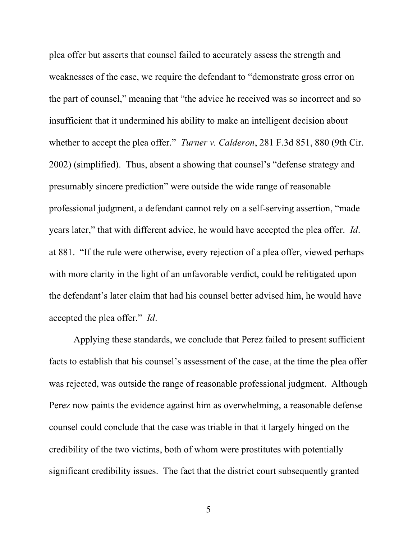plea offer but asserts that counsel failed to accurately assess the strength and weaknesses of the case, we require the defendant to "demonstrate gross error on the part of counsel," meaning that "the advice he received was so incorrect and so insufficient that it undermined his ability to make an intelligent decision about whether to accept the plea offer." *Turner v. Calderon*, 281 F.3d 851, 880 (9th Cir. 2002) (simplified). Thus, absent a showing that counsel's "defense strategy and presumably sincere prediction" were outside the wide range of reasonable professional judgment, a defendant cannot rely on a self-serving assertion, "made years later," that with different advice, he would have accepted the plea offer. *Id*. at 881. "If the rule were otherwise, every rejection of a plea offer, viewed perhaps with more clarity in the light of an unfavorable verdict, could be relitigated upon the defendant's later claim that had his counsel better advised him, he would have accepted the plea offer." *Id*.

Applying these standards, we conclude that Perez failed to present sufficient facts to establish that his counsel's assessment of the case, at the time the plea offer was rejected, was outside the range of reasonable professional judgment. Although Perez now paints the evidence against him as overwhelming, a reasonable defense counsel could conclude that the case was triable in that it largely hinged on the credibility of the two victims, both of whom were prostitutes with potentially significant credibility issues. The fact that the district court subsequently granted